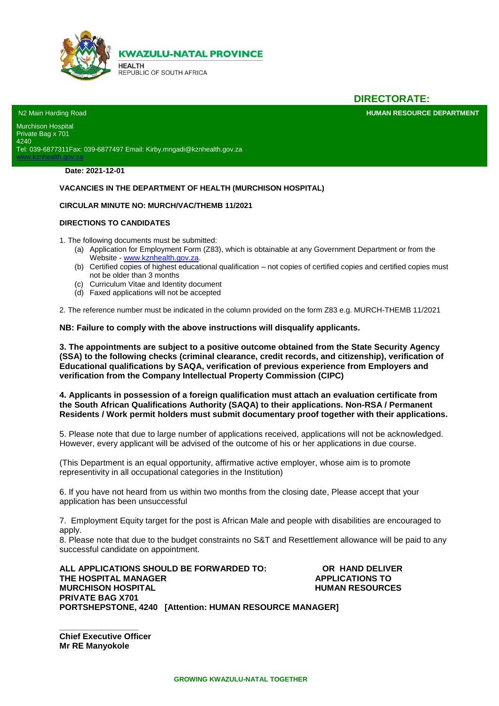

# **DIRECTORATE:**

**HUMAN RESOURCE DEPARTMENT** 

N2 Main Harding Road Murchison Hospital Private Bag x 701 4240 Tel: 039-6877311Fax: 039-6877497 Email: Kirby.mngadi@kznhealth.gov.za

**Date: 2021-12-01**

lth.gov.za

#### **VACANCIES IN THE DEPARTMENT OF HEALTH (MURCHISON HOSPITAL)**

#### **CIRCULAR MINUTE NO: MURCH/VAC/THEMB 11/2021**

#### **DIRECTIONS TO CANDIDATES**

1. The following documents must be submitted:

- (a) Application for Employment Form (Z83), which is obtainable at any Government Department or from the Website - [www.kznhealth.gov.za.](http://www.kznhealth.gov.za/)
- (b) Certified copies of highest educational qualification not copies of certified copies and certified copies must not be older than 3 months
- (c) Curriculum Vitae and Identity document
- (d) Faxed applications will not be accepted

2. The reference number must be indicated in the column provided on the form Z83 e.g. MURCH-THEMB 11/2021

**NB: Failure to comply with the above instructions will disqualify applicants.**

**3. The appointments are subject to a positive outcome obtained from the State Security Agency (SSA) to the following checks (criminal clearance, credit records, and citizenship), verification of Educational qualifications by SAQA, verification of previous experience from Employers and verification from the Company Intellectual Property Commission (CIPC)** 

**4. Applicants in possession of a foreign qualification must attach an evaluation certificate from the South African Qualifications Authority (SAQA) to their applications. Non-RSA / Permanent Residents / Work permit holders must submit documentary proof together with their applications.** 

5. Please note that due to large number of applications received, applications will not be acknowledged. However, every applicant will be advised of the outcome of his or her applications in due course.

(This Department is an equal opportunity, affirmative active employer, whose aim is to promote representivity in all occupational categories in the Institution)

6. If you have not heard from us within two months from the closing date, Please accept that your application has been unsuccessful

7. Employment Equity target for the post is African Male and people with disabilities are encouraged to apply.

8. Please note that due to the budget constraints no S&T and Resettlement allowance will be paid to any successful candidate on appointment.

**ALL APPLICATIONS SHOULD BE FORWARDED TO: OR HAND DELIVER THE HOSPITAL MANAGER APPLICATIONS TO MURCHISON HOSPITAL MURCHISON HOSPITAL PRIVATE BAG X701 PORTSHEPSTONE, 4240 [Attention: HUMAN RESOURCE MANAGER]** 

**\_\_\_\_\_\_\_\_\_\_\_\_\_\_\_\_\_ Chief Executive Officer Mr RE Manyokole**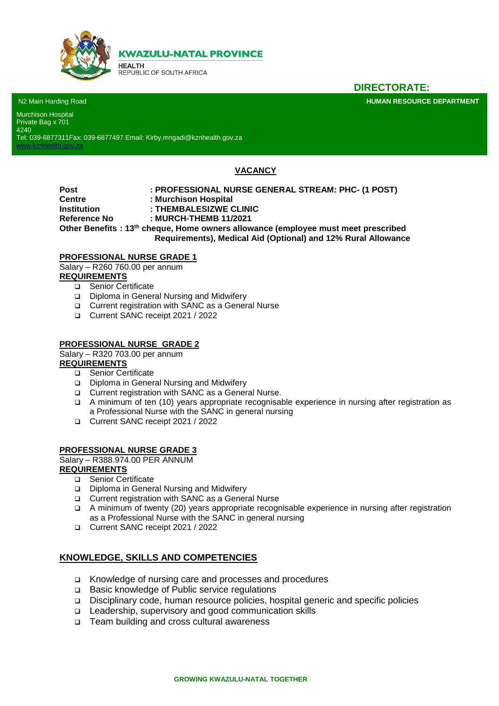

**KWAZULU-NATAL PROVINCE** 

**HEALTH** REPUBLIC OF SOUTH AFRICA

**DIRECTORATE:**

**HUMAN RESOURCE DEPARTMENT** 

N2 Main Harding Road

[www.kznhealth.gov.za](http://www.kznhealth.gov.za/)

Murchison Hospital Private Bag x 701 4240

Tel: 039-6877311Fax: 039-6877497 Email: Kirby.mngadi@kznhealth.gov.za

# **VACANCY**

**Post : PROFESSIONAL NURSE GENERAL STREAM: PHC- (1 POST) Centre : Murchison Hospital Institution : THEMBALESIZWE CLINIC Reference No : MURCH-THEMB 11/2021 Other Benefits : 13th cheque, Home owners allowance (employee must meet prescribed Requirements), Medical Aid (Optional) and 12% Rural Allowance**

### **PROFESSIONAL NURSE GRADE 1**

Salary – R260 760.00 per annum

### **REQUIREMENTS**

- □ Senior Certificate
- Diploma in General Nursing and Midwifery
- Current registration with SANC as a General Nurse
- Current SANC receipt 2021 / 2022

### **PROFESSIONAL NURSE GRADE 2**

Salary – R320 703.00 per annum

#### **REQUIREMENTS**

- □ Senior Certificate
- □ Diploma in General Nursing and Midwifery
- □ Current registration with SANC as a General Nurse.
- A minimum of ten (10) years appropriate recognisable experience in nursing after registration as a Professional Nurse with the SANC in general nursing
- Current SANC receipt 2021 / 2022

## **PROFESSIONAL NURSE GRADE 3**

Salary – R388.974.00 PER ANNUM

#### **REQUIREMENTS**

- □ Senior Certificate
- Diploma in General Nursing and Midwifery
- Current registration with SANC as a General Nurse
- A minimum of twenty (20) years appropriate recognisable experience in nursing after registration as a Professional Nurse with the SANC in general nursing
- Current SANC receipt 2021 / 2022

#### **KNOWLEDGE, SKILLS AND COMPETENCIES**

- Knowledge of nursing care and processes and procedures
- □ Basic knowledge of Public service regulations
- Disciplinary code, human resource policies, hospital generic and specific policies
- Leadership, supervisory and good communication skills
- □ Team building and cross cultural awareness